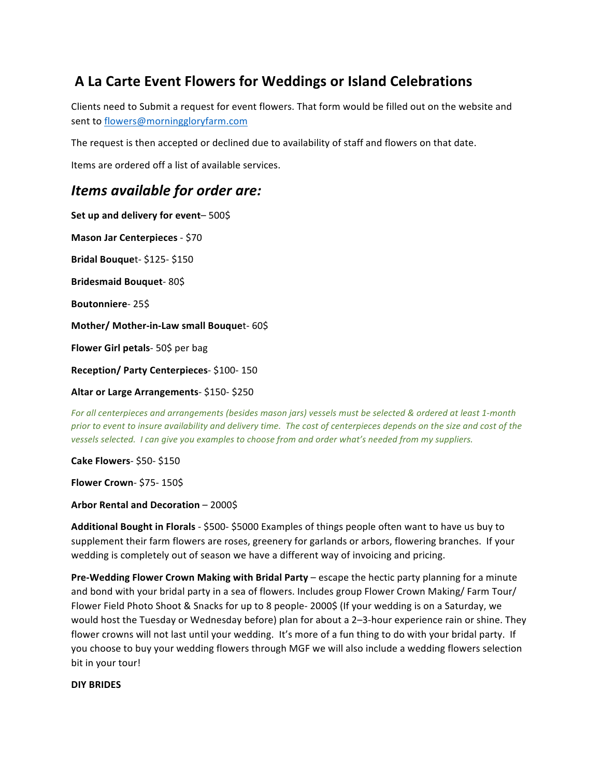## **A La Carte Event Flowers for Weddings or Island Celebrations**

Clients need to Submit a request for event flowers. That form would be filled out on the website and sent to flowers@morninggloryfarm.com

The request is then accepted or declined due to availability of staff and flowers on that date.

Items are ordered off a list of available services.

## *Items available for order are:*

Set up and delivery for event- 500\$ **Mason Jar Centerpieces** - \$70 **Bridal Bouque**t- \$125- \$150 **Bridesmaid Bouquet**- 80\$ **Boutonniere**- 25\$ **Mother/ Mother-in-Law small Bouquet- 60\$ Flower Girl petals-** 50\$ per bag **Reception/ Party Centerpieces**- \$100- 150 **Altar or Large Arrangements**- \$150- \$250 

*For all centerpieces and arrangements (besides mason jars)* vessels must be selected & ordered at least 1-month *prior* to event to insure availability and delivery time. The cost of centerpieces depends on the size and cost of the vessels selected. I can give you examples to choose from and order what's needed from my suppliers.

**Cake Flowers**- \$50- \$150

**Flower Crown**- \$75- 150\$

**Arbor Rental and Decoration** – 2000\$

**Additional Bought in Florals** - \$500- \$5000 Examples of things people often want to have us buy to supplement their farm flowers are roses, greenery for garlands or arbors, flowering branches. If your wedding is completely out of season we have a different way of invoicing and pricing.

**Pre-Wedding Flower Crown Making with Bridal Party** – escape the hectic party planning for a minute and bond with your bridal party in a sea of flowers. Includes group Flower Crown Making/ Farm Tour/ Flower Field Photo Shoot & Snacks for up to 8 people- 2000\$ (If your wedding is on a Saturday, we would host the Tuesday or Wednesday before) plan for about a 2-3-hour experience rain or shine. They flower crowns will not last until your wedding. It's more of a fun thing to do with your bridal party. If you choose to buy your wedding flowers through MGF we will also include a wedding flowers selection bit in your tour!

## **DIY BRIDES**